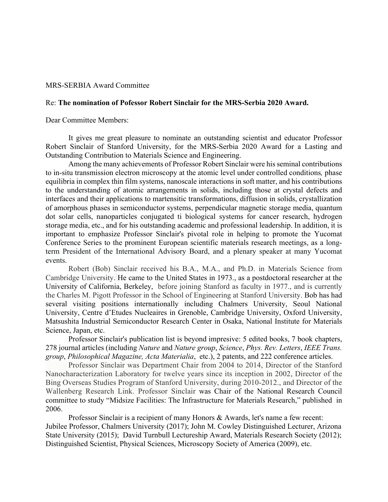## MRS-SERBIA Award Committee

## Re: **The nomination of Pofessor Robert Sinclair for the MRS-Serbia 2020 Award.**

Dear Committee Members:

It gives me great pleasure to nominate an outstanding scientist and educator Professor Robert Sinclair of Stanford University, for the MRS-Serbia 2020 Award for a Lasting and Outstanding Contribution to Materials Science and Engineering.

Among the many achievements of Professor Robert Sinclair were his seminal contributions to in-situ transmission electron microscopy at the atomic level under controlled conditions*,* phase equilibria in complex thin film systems, nanoscale interactions in soft matter, and his contributions to the understanding of atomic arrangements in solids, including those at crystal defects and interfaces and their applications to martensitic transformations, diffusion in solids, crystallization of amorphous phases in semiconductor systems, perpendicular magnetic storage media, quantum dot solar cells, nanoparticles conjugated ti biological systems for cancer research, hydrogen storage media, etc., and for his outstanding academic and professional leadership. In addition, it is important to emphasize Professor Sinclair's pivotal role in helping to promote the Yucomat Conference Series to the prominent European scientific materials research meetings, as a longterm President of the International Advisory Board, and a plenary speaker at many Yucomat events.

Robert (Bob) Sinclair received his B.A., M.A., and Ph.D. in Materials Science from Cambridge University. He came to the United States in 1973., as a postdoctoral researcher at the University of California, Berkeley, before joining Stanford as faculty in 1977., and is currently the Charles M. Pigott Professor in the School of Engineering at Stanford University. Bob has had several visiting positions internationally including Chalmers University, Seoul National University, Centre d'Etudes Nucleaires in Grenoble, Cambridge University, Oxford University, Matsushita Industrial Semiconductor Research Center in Osaka, National Institute for Materials Science, Japan, etc.

Professor Sinclair's publication list is beyond impresive: 5 edited books, 7 book chapters, 278 journal articles (including *Nature* and *Nature group*, *Science*, *Phys. Rev. Letters*, *IEEE Trans. group*, *Philosophical Magazine, Acta Materialia*, etc.), 2 patents, and 222 conference articles.

Professor Sinclair was Department Chair from 2004 to 2014, Director of the Stanford Nanocharacterization Laboratory for twelve years since its inception in 2002, Director of the Bing Overseas Studies Program of Stanford University, during 2010-2012., and Director of the Wallenberg Research Link. Professor Sinclair was Chair of the National Research Council committee to study "Midsize Facilities: The Infrastructure for Materials Research," published in 2006.

Professor Sinclair is a recipient of many Honors & Awards, let's name a few recent: Jubilee Professor, Chalmers University (2017); John M. Cowley Distinguished Lecturer, Arizona State University (2015); David Turnbull Lectureship Award, Materials Research Society (2012); Distinguished Scientist, Physical Sciences, Microscopy Society of America (2009), etc.